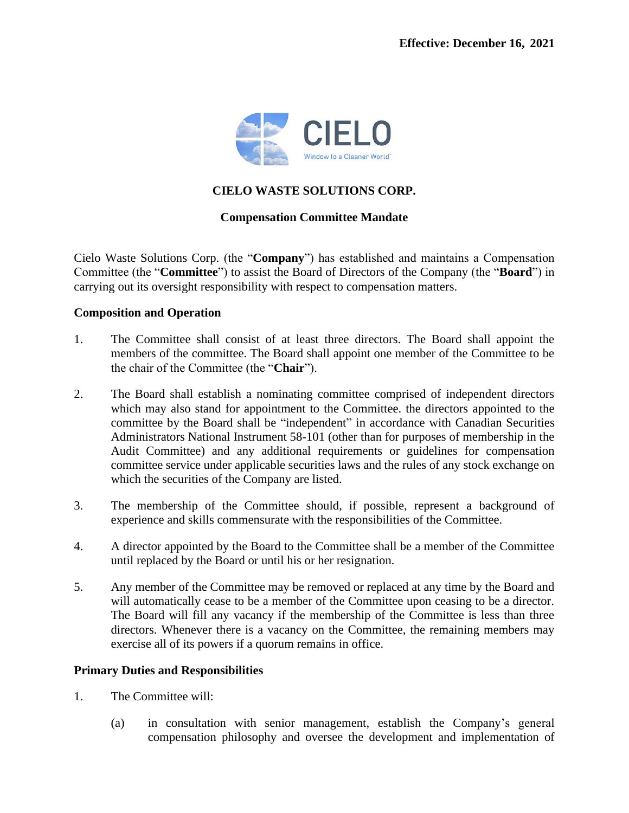

# **CIELO WASTE SOLUTIONS CORP.**

## **Compensation Committee Mandate**

Cielo Waste Solutions Corp. (the "**Company**") has established and maintains a Compensation Committee (the "**Committee**") to assist the Board of Directors of the Company (the "**Board**") in carrying out its oversight responsibility with respect to compensation matters.

### **Composition and Operation**

- 1. The Committee shall consist of at least three directors. The Board shall appoint the members of the committee. The Board shall appoint one member of the Committee to be the chair of the Committee (the "**Chair**").
- 2. The Board shall establish a nominating committee comprised of independent directors which may also stand for appointment to the Committee. the directors appointed to the committee by the Board shall be "independent" in accordance with Canadian Securities Administrators National Instrument 58-101 (other than for purposes of membership in the Audit Committee) and any additional requirements or guidelines for compensation committee service under applicable securities laws and the rules of any stock exchange on which the securities of the Company are listed.
- 3. The membership of the Committee should, if possible, represent a background of experience and skills commensurate with the responsibilities of the Committee.
- 4. A director appointed by the Board to the Committee shall be a member of the Committee until replaced by the Board or until his or her resignation.
- 5. Any member of the Committee may be removed or replaced at any time by the Board and will automatically cease to be a member of the Committee upon ceasing to be a director. The Board will fill any vacancy if the membership of the Committee is less than three directors. Whenever there is a vacancy on the Committee, the remaining members may exercise all of its powers if a quorum remains in office.

### **Primary Duties and Responsibilities**

- 1. The Committee will:
	- (a) in consultation with senior management, establish the Company's general compensation philosophy and oversee the development and implementation of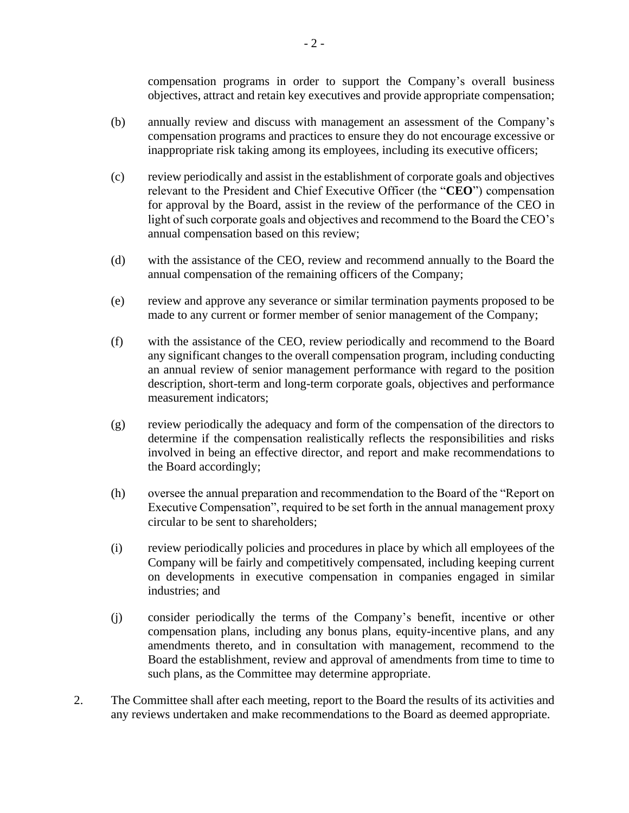compensation programs in order to support the Company's overall business objectives, attract and retain key executives and provide appropriate compensation;

- (b) annually review and discuss with management an assessment of the Company's compensation programs and practices to ensure they do not encourage excessive or inappropriate risk taking among its employees, including its executive officers;
- (c) review periodically and assist in the establishment of corporate goals and objectives relevant to the President and Chief Executive Officer (the "**CEO**") compensation for approval by the Board, assist in the review of the performance of the CEO in light of such corporate goals and objectives and recommend to the Board the CEO's annual compensation based on this review;
- (d) with the assistance of the CEO, review and recommend annually to the Board the annual compensation of the remaining officers of the Company;
- (e) review and approve any severance or similar termination payments proposed to be made to any current or former member of senior management of the Company;
- (f) with the assistance of the CEO, review periodically and recommend to the Board any significant changes to the overall compensation program, including conducting an annual review of senior management performance with regard to the position description, short-term and long-term corporate goals, objectives and performance measurement indicators;
- (g) review periodically the adequacy and form of the compensation of the directors to determine if the compensation realistically reflects the responsibilities and risks involved in being an effective director, and report and make recommendations to the Board accordingly;
- (h) oversee the annual preparation and recommendation to the Board of the "Report on Executive Compensation", required to be set forth in the annual management proxy circular to be sent to shareholders;
- (i) review periodically policies and procedures in place by which all employees of the Company will be fairly and competitively compensated, including keeping current on developments in executive compensation in companies engaged in similar industries; and
- (j) consider periodically the terms of the Company's benefit, incentive or other compensation plans, including any bonus plans, equity-incentive plans, and any amendments thereto, and in consultation with management, recommend to the Board the establishment, review and approval of amendments from time to time to such plans, as the Committee may determine appropriate.
- 2. The Committee shall after each meeting, report to the Board the results of its activities and any reviews undertaken and make recommendations to the Board as deemed appropriate.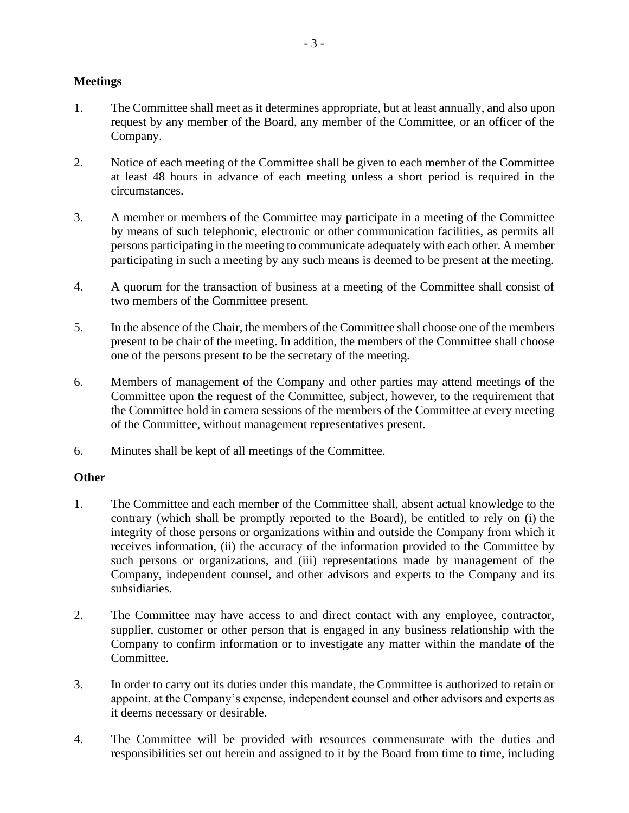## **Meetings**

- 1. The Committee shall meet as it determines appropriate, but at least annually, and also upon request by any member of the Board, any member of the Committee, or an officer of the Company.
- 2. Notice of each meeting of the Committee shall be given to each member of the Committee at least 48 hours in advance of each meeting unless a short period is required in the circumstances.
- 3. A member or members of the Committee may participate in a meeting of the Committee by means of such telephonic, electronic or other communication facilities, as permits all persons participating in the meeting to communicate adequately with each other. A member participating in such a meeting by any such means is deemed to be present at the meeting.
- 4. A quorum for the transaction of business at a meeting of the Committee shall consist of two members of the Committee present.
- 5. In the absence of the Chair, the members of the Committee shall choose one of the members present to be chair of the meeting. In addition, the members of the Committee shall choose one of the persons present to be the secretary of the meeting.
- 6. Members of management of the Company and other parties may attend meetings of the Committee upon the request of the Committee, subject, however, to the requirement that the Committee hold in camera sessions of the members of the Committee at every meeting of the Committee, without management representatives present.
- 6. Minutes shall be kept of all meetings of the Committee.

### **Other**

- 1. The Committee and each member of the Committee shall, absent actual knowledge to the contrary (which shall be promptly reported to the Board), be entitled to rely on (i) the integrity of those persons or organizations within and outside the Company from which it receives information, (ii) the accuracy of the information provided to the Committee by such persons or organizations, and (iii) representations made by management of the Company, independent counsel, and other advisors and experts to the Company and its subsidiaries.
- 2. The Committee may have access to and direct contact with any employee, contractor, supplier, customer or other person that is engaged in any business relationship with the Company to confirm information or to investigate any matter within the mandate of the Committee.
- 3. In order to carry out its duties under this mandate, the Committee is authorized to retain or appoint, at the Company's expense, independent counsel and other advisors and experts as it deems necessary or desirable.
- 4. The Committee will be provided with resources commensurate with the duties and responsibilities set out herein and assigned to it by the Board from time to time, including